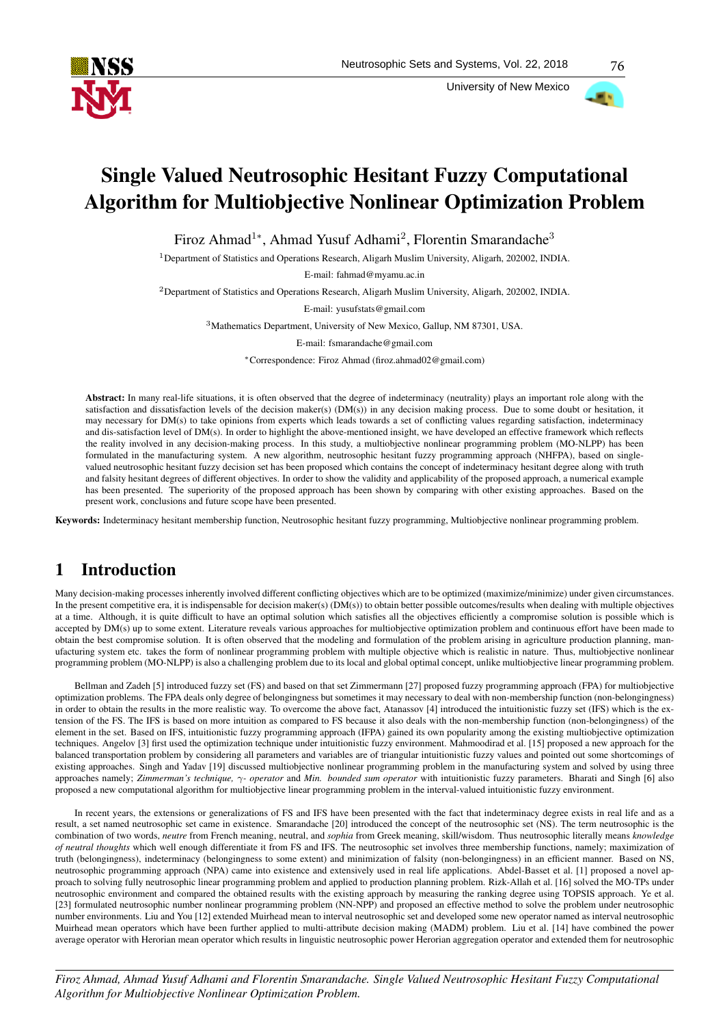

University of New Mexico



# Single Valued Neutrosophic Hesitant Fuzzy Computational Algorithm for Multiobjective Nonlinear Optimization Problem

Firoz Ahmad<sup>1</sup>\*, Ahmad Yusuf Adhami<sup>2</sup>, Florentin Smarandache<sup>3</sup>

<sup>1</sup>Department of Statistics and Operations Research, Aligarh Muslim University, Aligarh, 202002, INDIA.

E-mail: fahmad@myamu.ac.in

<sup>2</sup>Department of Statistics and Operations Research, Aligarh Muslim University, Aligarh, 202002, INDIA.

E-mail: yusufstats@gmail.com

<sup>3</sup>Mathematics Department, University of New Mexico, Gallup, NM 87301, USA.

E-mail: fsmarandache@gmail.com

<sup>∗</sup>Correspondence: Firoz Ahmad (firoz.ahmad02@gmail.com)

Abstract: In many real-life situations, it is often observed that the degree of indeterminacy (neutrality) plays an important role along with the satisfaction and dissatisfaction levels of the decision maker(s) (DM(s)) in any decision making process. Due to some doubt or hesitation, it may necessary for DM(s) to take opinions from experts which leads towards a set of conflicting values regarding satisfaction, indeterminacy and dis-satisfaction level of DM(s). In order to highlight the above-mentioned insight, we have developed an effective framework which reflects the reality involved in any decision-making process. In this study, a multiobjective nonlinear programming problem (MO-NLPP) has been formulated in the manufacturing system. A new algorithm, neutrosophic hesitant fuzzy programming approach (NHFPA), based on singlevalued neutrosophic hesitant fuzzy decision set has been proposed which contains the concept of indeterminacy hesitant degree along with truth and falsity hesitant degrees of different objectives. In order to show the validity and applicability of the proposed approach, a numerical example has been presented. The superiority of the proposed approach has been shown by comparing with other existing approaches. Based on the present work, conclusions and future scope have been presented.

Keywords: Indeterminacy hesitant membership function, Neutrosophic hesitant fuzzy programming, Multiobjective nonlinear programming problem.

# 1 Introduction

Many decision-making processes inherently involved different conflicting objectives which are to be optimized (maximize/minimize) under given circumstances. In the present competitive era, it is indispensable for decision maker(s) (DM(s)) to obtain better possible outcomes/results when dealing with multiple objectives at a time. Although, it is quite difficult to have an optimal solution which satisfies all the objectives efficiently a compromise solution is possible which is accepted by DM(s) up to some extent. Literature reveals various approaches for multiobjective optimization problem and continuous effort have been made to obtain the best compromise solution. It is often observed that the modeling and formulation of the problem arising in agriculture production planning, manufacturing system etc. takes the form of nonlinear programming problem with multiple objective which is realistic in nature. Thus, multiobjective nonlinear programming problem (MO-NLPP) is also a challenging problem due to its local and global optimal concept, unlike multiobjective linear programming problem.

Bellman and Zadeh [5] introduced fuzzy set (FS) and based on that set Zimmermann [27] proposed fuzzy programming approach (FPA) for multiobjective optimization problems. The FPA deals only degree of belongingness but sometimes it may necessary to deal with non-membership function (non-belongingness) in order to obtain the results in the more realistic way. To overcome the above fact, Atanassov [4] introduced the intuitionistic fuzzy set (IFS) which is the extension of the FS. The IFS is based on more intuition as compared to FS because it also deals with the non-membership function (non-belongingness) of the element in the set. Based on IFS, intuitionistic fuzzy programming approach (IFPA) gained its own popularity among the existing multiobjective optimization techniques. Angelov [3] first used the optimization technique under intuitionistic fuzzy environment. Mahmoodirad et al. [15] proposed a new approach for the balanced transportation problem by considering all parameters and variables are of triangular intuitionistic fuzzy values and pointed out some shortcomings of existing approaches. Singh and Yadav [19] discussed multiobjective nonlinear programming problem in the manufacturing system and solved by using three approaches namely; *Zimmerman's technique,* γ*- operator* and *Min. bounded sum operator* with intuitionistic fuzzy parameters. Bharati and Singh [6] also proposed a new computational algorithm for multiobjective linear programming problem in the interval-valued intuitionistic fuzzy environment.

In recent years, the extensions or generalizations of FS and IFS have been presented with the fact that indeterminacy degree exists in real life and as a result, a set named neutrosophic set came in existence. Smarandache [20] introduced the concept of the neutrosophic set (NS). The term neutrosophic is the combination of two words, *neutre* from French meaning, neutral, and *sophia* from Greek meaning, skill/wisdom. Thus neutrosophic literally means *knowledge of neutral thoughts* which well enough differentiate it from FS and IFS. The neutrosophic set involves three membership functions, namely; maximization of truth (belongingness), indeterminacy (belongingness to some extent) and minimization of falsity (non-belongingness) in an efficient manner. Based on NS, neutrosophic programming approach (NPA) came into existence and extensively used in real life applications. Abdel-Basset et al. [1] proposed a novel approach to solving fully neutrosophic linear programming problem and applied to production planning problem. Rizk-Allah et al. [16] solved the MO-TPs under neutrosophic environment and compared the obtained results with the existing approach by measuring the ranking degree using TOPSIS approach. Ye et al. [23] formulated neutrosophic number nonlinear programming problem (NN-NPP) and proposed an effective method to solve the problem under neutrosophic number environments. Liu and You [12] extended Muirhead mean to interval neutrosophic set and developed some new operator named as interval neutrosophic Muirhead mean operators which have been further applied to multi-attribute decision making (MADM) problem. Liu et al. [14] have combined the power average operator with Herorian mean operator which results in linguistic neutrosophic power Herorian aggregation operator and extended them for neutrosophic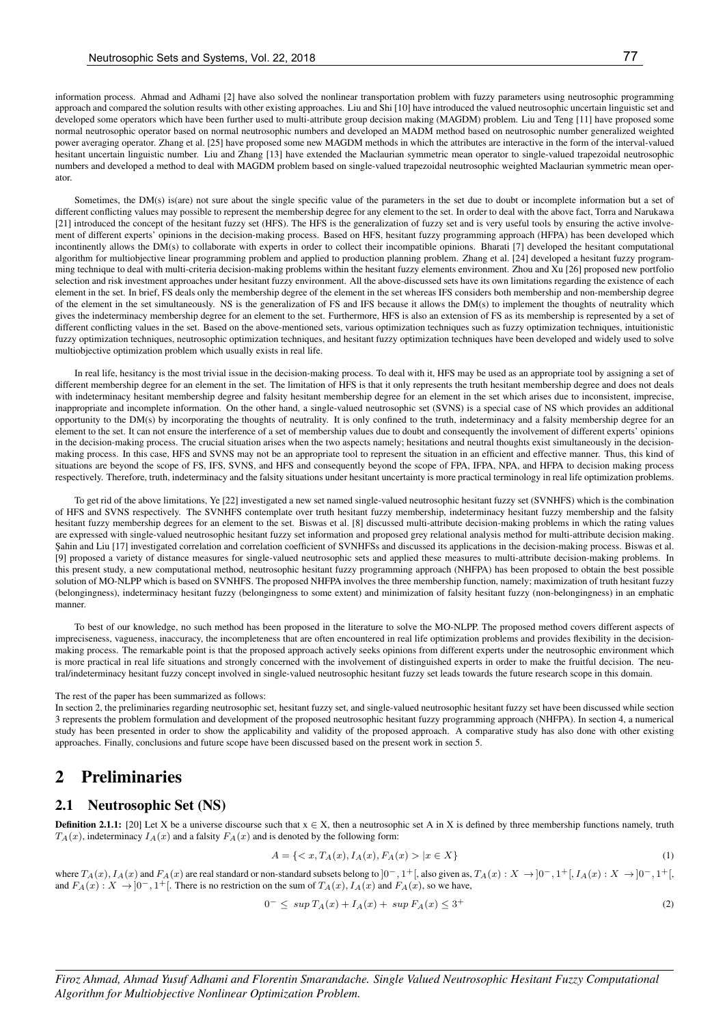information process. Ahmad and Adhami [2] have also solved the nonlinear transportation problem with fuzzy parameters using neutrosophic programming approach and compared the solution results with other existing approaches. Liu and Shi [10] have introduced the valued neutrosophic uncertain linguistic set and developed some operators which have been further used to multi-attribute group decision making (MAGDM) problem. Liu and Teng [11] have proposed some normal neutrosophic operator based on normal neutrosophic numbers and developed an MADM method based on neutrosophic number generalized weighted power averaging operator. Zhang et al. [25] have proposed some new MAGDM methods in which the attributes are interactive in the form of the interval-valued hesitant uncertain linguistic number. Liu and Zhang [13] have extended the Maclaurian symmetric mean operator to single-valued trapezoidal neutrosophic numbers and developed a method to deal with MAGDM problem based on single-valued trapezoidal neutrosophic weighted Maclaurian symmetric mean operator.

Sometimes, the DM(s) is(are) not sure about the single specific value of the parameters in the set due to doubt or incomplete information but a set of different conflicting values may possible to represent the membership degree for any element to the set. In order to deal with the above fact, Torra and Narukawa [21] introduced the concept of the hesitant fuzzy set (HFS). The HFS is the generalization of fuzzy set and is very useful tools by ensuring the active involvement of different experts' opinions in the decision-making process. Based on HFS, hesitant fuzzy programming approach (HFPA) has been developed which incontinently allows the DM(s) to collaborate with experts in order to collect their incompatible opinions. Bharati [7] developed the hesitant computational algorithm for multiobjective linear programming problem and applied to production planning problem. Zhang et al. [24] developed a hesitant fuzzy programming technique to deal with multi-criteria decision-making problems within the hesitant fuzzy elements environment. Zhou and Xu [26] proposed new portfolio selection and risk investment approaches under hesitant fuzzy environment. All the above-discussed sets have its own limitations regarding the existence of each element in the set. In brief, FS deals only the membership degree of the element in the set whereas IFS considers both membership and non-membership degree of the element in the set simultaneously. NS is the generalization of FS and IFS because it allows the DM(s) to implement the thoughts of neutrality which gives the indeterminacy membership degree for an element to the set. Furthermore, HFS is also an extension of FS as its membership is represented by a set of different conflicting values in the set. Based on the above-mentioned sets, various optimization techniques such as fuzzy optimization techniques, intuitionistic fuzzy optimization techniques, neutrosophic optimization techniques, and hesitant fuzzy optimization techniques have been developed and widely used to solve multiobjective optimization problem which usually exists in real life.

In real life, hesitancy is the most trivial issue in the decision-making process. To deal with it, HFS may be used as an appropriate tool by assigning a set of different membership degree for an element in the set. The limitation of HFS is that it only represents the truth hesitant membership degree and does not deals with indeterminacy hesitant membership degree and falsity hesitant membership degree for an element in the set which arises due to inconsistent, imprecise, inappropriate and incomplete information. On the other hand, a single-valued neutrosophic set (SVNS) is a special case of NS which provides an additional opportunity to the DM(s) by incorporating the thoughts of neutrality. It is only confined to the truth, indeterminacy and a falsity membership degree for an element to the set. It can not ensure the interference of a set of membership values due to doubt and consequently the involvement of different experts' opinions in the decision-making process. The crucial situation arises when the two aspects namely; hesitations and neutral thoughts exist simultaneously in the decisionmaking process. In this case, HFS and SVNS may not be an appropriate tool to represent the situation in an efficient and effective manner. Thus, this kind of situations are beyond the scope of FS, IFS, SVNS, and HFS and consequently beyond the scope of FPA, IFPA, NPA, and HFPA to decision making process respectively. Therefore, truth, indeterminacy and the falsity situations under hesitant uncertainty is more practical terminology in real life optimization problems.

To get rid of the above limitations, Ye [22] investigated a new set named single-valued neutrosophic hesitant fuzzy set (SVNHFS) which is the combination of HFS and SVNS respectively. The SVNHFS contemplate over truth hesitant fuzzy membership, indeterminacy hesitant fuzzy membership and the falsity hesitant fuzzy membership degrees for an element to the set. Biswas et al. [8] discussed multi-attribute decision-making problems in which the rating values are expressed with single-valued neutrosophic hesitant fuzzy set information and proposed grey relational analysis method for multi-attribute decision making. Sahin and Liu [17] investigated correlation and correlation coefficient of SVNHFSs and discussed its applications in the decision-making process. Biswas et al. [9] proposed a variety of distance measures for single-valued neutrosophic sets and applied these measures to multi-attribute decision-making problems. In this present study, a new computational method, neutrosophic hesitant fuzzy programming approach (NHFPA) has been proposed to obtain the best possible solution of MO-NLPP which is based on SVNHFS. The proposed NHFPA involves the three membership function, namely; maximization of truth hesitant fuzzy (belongingness), indeterminacy hesitant fuzzy (belongingness to some extent) and minimization of falsity hesitant fuzzy (non-belongingness) in an emphatic manner.

To best of our knowledge, no such method has been proposed in the literature to solve the MO-NLPP. The proposed method covers different aspects of impreciseness, vagueness, inaccuracy, the incompleteness that are often encountered in real life optimization problems and provides flexibility in the decisionmaking process. The remarkable point is that the proposed approach actively seeks opinions from different experts under the neutrosophic environment which is more practical in real life situations and strongly concerned with the involvement of distinguished experts in order to make the fruitful decision. The neutral/indeterminacy hesitant fuzzy concept involved in single-valued neutrosophic hesitant fuzzy set leads towards the future research scope in this domain.

The rest of the paper has been summarized as follows:

In section 2, the preliminaries regarding neutrosophic set, hesitant fuzzy set, and single-valued neutrosophic hesitant fuzzy set have been discussed while section 3 represents the problem formulation and development of the proposed neutrosophic hesitant fuzzy programming approach (NHFPA). In section 4, a numerical study has been presented in order to show the applicability and validity of the proposed approach. A comparative study has also done with other existing approaches. Finally, conclusions and future scope have been discussed based on the present work in section 5.

### 2 Preliminaries

#### 2.1 Neutrosophic Set (NS)

**Definition 2.1.1:** [20] Let X be a universe discourse such that  $x \in X$ , then a neutrosophic set A in X is defined by three membership functions namely, truth  $T_A(x)$ , indeterminacy  $I_A(x)$  and a falsity  $F_A(x)$  and is denoted by the following form:

$$
A = \{ \langle x, T_A(x), I_A(x), F_A(x) \rangle \mid x \in X \} \tag{1}
$$

where  $T_A(x)$ ,  $I_A(x)$  and  $F_A(x)$  are real standard or non-standard subsets belong to  $]0^-$ ,  $1^+$ [, also given as,  $T_A(x) : X \to ]0^-$ ,  $1^+$ [,  $I_A(x) : X \to ]0^-$ ,  $1^+$ [, and  $F_A(x): X \to ]0^-$ ,  $1^+$ . There is no restriction on the sum of  $T_A(x)$ ,  $I_A(x)$  and  $F_A(x)$ , so we have,

$$
0^- \leq \sup T_A(x) + I_A(x) + \sup F_A(x) \leq 3^+ \tag{2}
$$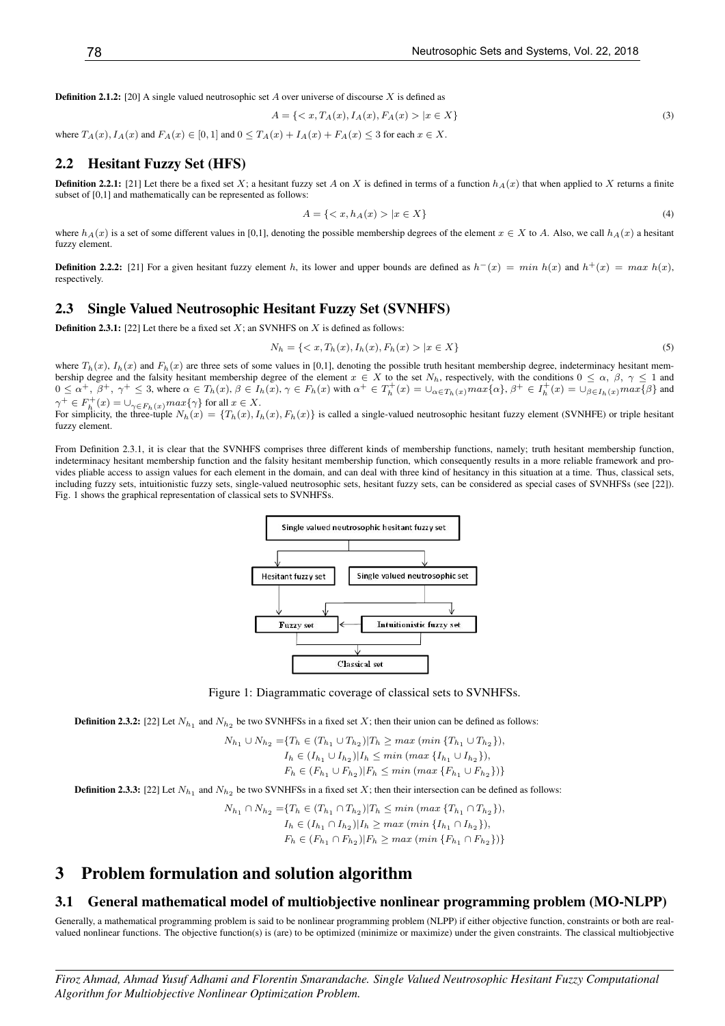**Definition 2.1.2:** [20] A single valued neutrosophic set A over universe of discourse X is defined as

$$
A = \{ \langle x, T_A(x), I_A(x), F_A(x) \rangle \mid x \in X \}
$$
\n(3)

where  $T_A(x)$ ,  $I_A(x)$  and  $F_A(x) \in [0,1]$  and  $0 \le T_A(x) + I_A(x) + F_A(x) \le 3$  for each  $x \in X$ .

#### 2.2 Hesitant Fuzzy Set (HFS)

**Definition 2.2.1:** [21] Let there be a fixed set X; a hesitant fuzzy set A on X is defined in terms of a function  $h_A(x)$  that when applied to X returns a finite subset of [0,1] and mathematically can be represented as follows:

$$
A = \{ \langle x, h_A(x) \rangle \mid x \in X \} \tag{4}
$$

where  $h_A(x)$  is a set of some different values in [0,1], denoting the possible membership degrees of the element  $x \in X$  to A. Also, we call  $h_A(x)$  a hesitant fuzzy element.

**Definition 2.2.2:** [21] For a given hesitant fuzzy element h, its lower and upper bounds are defined as  $h^-(x) = min \; h(x)$  and  $h^+(x) = max \; h(x)$ , respectively.

#### 2.3 Single Valued Neutrosophic Hesitant Fuzzy Set (SVNHFS)

**Definition 2.3.1:** [22] Let there be a fixed set  $X$ ; an SVNHFS on  $X$  is defined as follows:

$$
N_h = \{ \langle x, T_h(x), I_h(x), F_h(x) \rangle \mid x \in X \}
$$
\n<sup>(5)</sup>

where  $T_h(x)$ ,  $I_h(x)$  and  $F_h(x)$  are three sets of some values in [0,1], denoting the possible truth hesitant membership degree, indeterminacy hesitant membership degree and the falsity hesitant membership degree of the element  $x \in X$  to the set  $N_h$ , respectively, with the conditions  $0 \le \alpha$ ,  $\beta$ ,  $\gamma \le 1$  and  $0 \le \alpha^+, \beta^+, \gamma^+ \le 3$ , where  $\alpha \in T_h(x)$ ,  $\beta \in I_h(x)$ ,  $\gamma \in F_h(x)$  with  $\alpha^+ \in T_h^+(x) = \bigcup_{\alpha \in T_h(x)} max\{\alpha\}$ ,  $\beta^+ \in I_h^+(x) = \bigcup_{\beta \in I_h(x)} max\{\beta\}$  and  $\gamma^+ \in F_h^+(x) = \bigcup_{\gamma \in F_h(x)} max\{\gamma\}$  for all  $x \in X$ .<br>For simplicity, the three-tuple  $N_h(x) = \{T_h(x), I_h(x), F_h(x)\}$  is called a single-valued neutrosophic hesitant fuzzy element (SVNHFE) or triple hesitant

fuzzy element.

From Definition 2.3.1, it is clear that the SVNHFS comprises three different kinds of membership functions, namely; truth hesitant membership function, indeterminacy hesitant membership function and the falsity hesitant membership function, which consequently results in a more reliable framework and provides pliable access to assign values for each element in the domain, and can deal with three kind of hesitancy in this situation at a time. Thus, classical sets, including fuzzy sets, intuitionistic fuzzy sets, single-valued neutrosophic sets, hesitant fuzzy sets, can be considered as special cases of SVNHFSs (see [22]). Fig. 1 shows the graphical representation of classical sets to SVNHFSs.



Figure 1: Diagrammatic coverage of classical sets to SVNHFSs.

**Definition 2.3.2:** [22] Let  $N_{h_1}$  and  $N_{h_2}$  be two SVNHFSs in a fixed set X; then their union can be defined as follows:

$$
N_{h_1} \cup N_{h_2} = \{T_h \in (T_{h_1} \cup T_{h_2}) | T_h \ge \max \left( \min \{T_{h_1} \cup T_{h_2} \} \right),
$$
  
\n
$$
I_h \in (I_{h_1} \cup I_{h_2}) | I_h \le \min \left( \max \{I_{h_1} \cup I_{h_2} \} \right),
$$
  
\n
$$
F_h \in (F_{h_1} \cup F_{h_2}) | F_h \le \min \left( \max \{F_{h_1} \cup F_{h_2} \} \right) \}
$$

**Definition 2.3.3:** [22] Let  $N_{h_1}$  and  $N_{h_2}$  be two SVNHFSs in a fixed set X; then their intersection can be defined as follows:

$$
N_{h_1} \cap N_{h_2} = \{ T_h \in (T_{h_1} \cap T_{h_2}) | T_h \le \min \left( \max \{ T_{h_1} \cap T_{h_2} \} \right),
$$
  
\n
$$
I_h \in (I_{h_1} \cap I_{h_2}) | I_h \ge \max \left( \min \{ I_{h_1} \cap I_{h_2} \} \right),
$$
  
\n
$$
F_h \in (F_{h_1} \cap F_{h_2}) | F_h \ge \max \left( \min \{ F_{h_1} \cap F_{h_2} \} \right) \}
$$

### 3 Problem formulation and solution algorithm

#### 3.1 General mathematical model of multiobjective nonlinear programming problem (MO-NLPP)

Generally, a mathematical programming problem is said to be nonlinear programming problem (NLPP) if either objective function, constraints or both are realvalued nonlinear functions. The objective function(s) is (are) to be optimized (minimize or maximize) under the given constraints. The classical multiobjective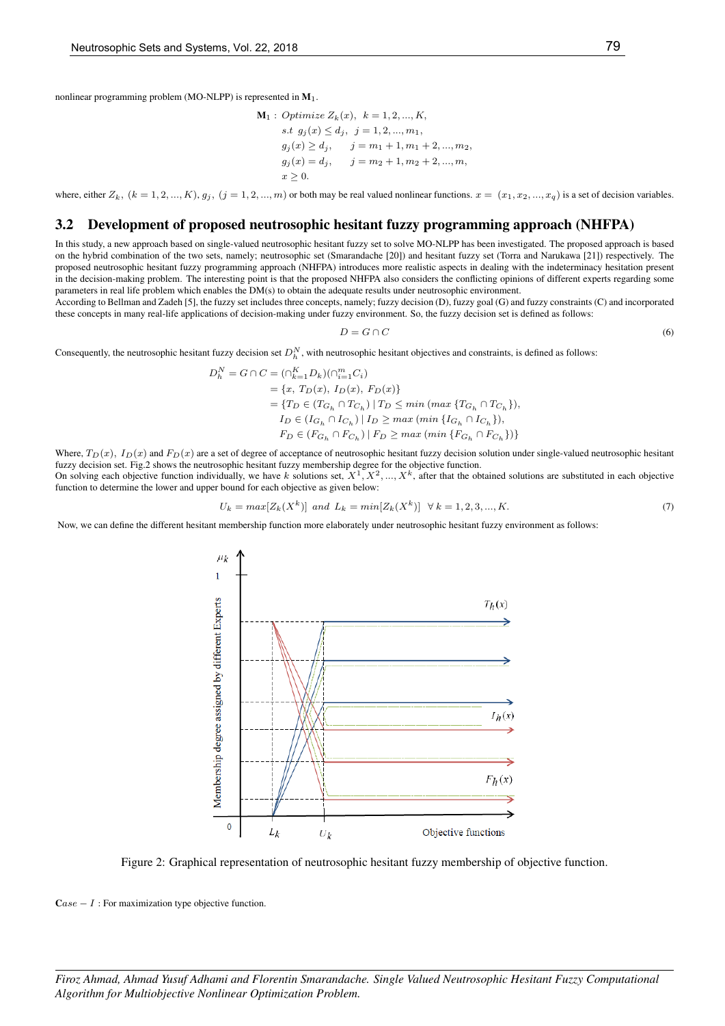nonlinear programming problem (MO-NLPP) is represented in  $M_1$ .

$$
\mathbf{M}_1: Optimize Z_k(x), k = 1, 2, ..., K,
$$
  
s.t  $g_j(x) \le d_j, j = 1, 2, ..., m_1,$   
 $g_j(x) \ge d_j, j = m_1 + 1, m_1 + 2, ..., m_2,$   
 $g_j(x) = d_j, j = m_2 + 1, m_2 + 2, ..., m,$   
 $x \ge 0.$ 

where, either  $Z_k$ ,  $(k = 1, 2, ..., K)$ ,  $g_j$ ,  $(j = 1, 2, ..., m)$  or both may be real valued nonlinear functions.  $x = (x_1, x_2, ..., x_q)$  is a set of decision variables.

#### 3.2 Development of proposed neutrosophic hesitant fuzzy programming approach (NHFPA)

In this study, a new approach based on single-valued neutrosophic hesitant fuzzy set to solve MO-NLPP has been investigated. The proposed approach is based on the hybrid combination of the two sets, namely; neutrosophic set (Smarandache [20]) and hesitant fuzzy set (Torra and Narukawa [21]) respectively. The proposed neutrosophic hesitant fuzzy programming approach (NHFPA) introduces more realistic aspects in dealing with the indeterminacy hesitation present in the decision-making problem. The interesting point is that the proposed NHFPA also considers the conflicting opinions of different experts regarding some parameters in real life problem which enables the DM(s) to obtain the adequate results under neutrosophic environment.

According to Bellman and Zadeh [5], the fuzzy set includes three concepts, namely; fuzzy decision (D), fuzzy goal (G) and fuzzy constraints (C) and incorporated these concepts in many real-life applications of decision-making under fuzzy environment. So, the fuzzy decision set is defined as follows:

$$
D = G \cap C \tag{6}
$$

Consequently, the neutrosophic hesitant fuzzy decision set  $D_h^N$ , with neutrosophic hesitant objectives and constraints, is defined as follows:

$$
\begin{aligned} D_h^N = G \cap C & = (\cap_{k=1}^K D_k)(\cap_{i=1}^m C_i) \\ & = \{x, \, T_D(x), \, I_D(x), \, F_D(x)\} \\ & = \{T_D \in (T_{G_h} \cap T_{C_h}) \, | \, T_D \leq \min \left( \max \, \{T_{G_h} \cap T_{C_h} \} \right), \\ I_D \in (I_{G_h} \cap I_{C_h}) \, | \, I_D \geq \max \left( \min \, \{I_{G_h} \cap I_{C_h} \} \right), \\ F_D \in (F_{G_h} \cap F_{C_h}) \, | \, F_D \geq \max \left( \min \, \{F_{G_h} \cap F_{C_h} \} \right) \} \end{aligned}
$$

Where,  $T_D(x)$ ,  $I_D(x)$  and  $F_D(x)$  are a set of degree of acceptance of neutrosophic hesitant fuzzy decision solution under single-valued neutrosophic hesitant fuzzy decision set. Fig.2 shows the neutrosophic hesitant fuzzy membership degree for the objective function.

On solving each objective function individually, we have k solutions set,  $X^1, X^2, ..., X^k$ , after that the obtained solutions are substituted in each objective function to determine the lower and upper bound for each objective as given below:

$$
U_k = \max[Z_k(X^k)] \text{ and } L_k = \min[Z_k(X^k)] \quad \forall \ k = 1, 2, 3, ..., K. \tag{7}
$$

Now, we can define the different hesitant membership function more elaborately under neutrosophic hesitant fuzzy environment as follows:



Figure 2: Graphical representation of neutrosophic hesitant fuzzy membership of objective function.

 $\textbf{C}$ ase – I : For maximization type objective function.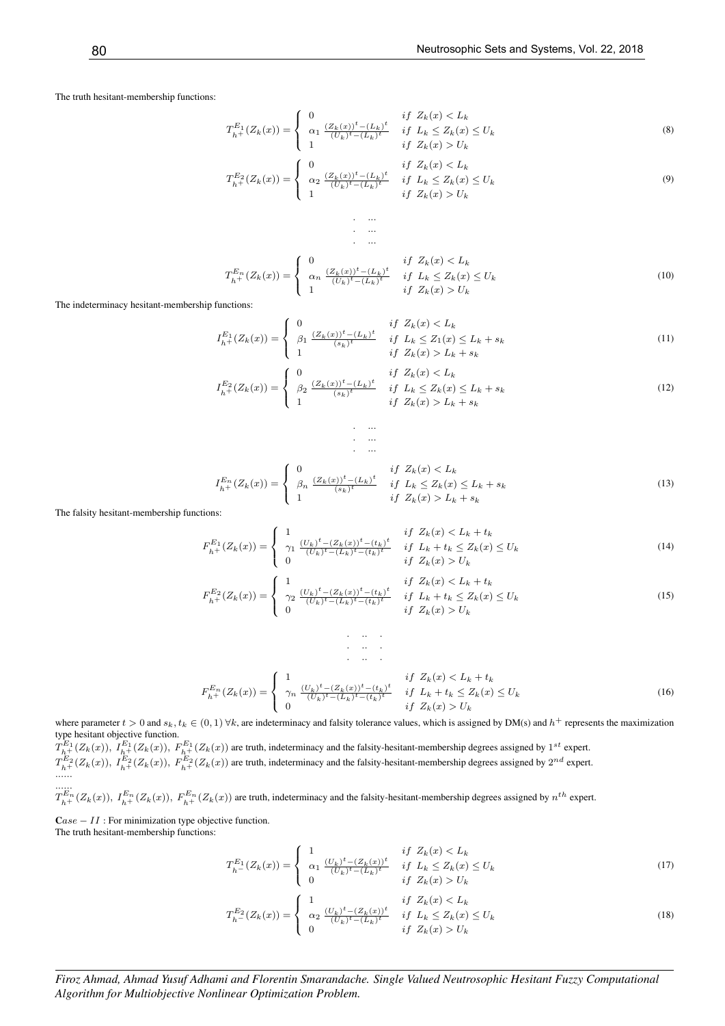The truth hesitant-membership functions:

$$
T_{h+}^{E_1}(Z_k(x)) = \begin{cases} 0 & \text{if } Z_k(x) < L_k \\ \alpha_1 \frac{(Z_k(x))^t - (L_k)^t}{(U_k)^t - (L_k)^t} & \text{if } L_k \le Z_k(x) \le U_k \\ 1 & \text{if } Z_k(x) > U_k \end{cases} \tag{8}
$$

$$
T_{h+}^{E_2}(Z_k(x)) = \begin{cases} \n\alpha_2 \frac{(Z_k(x))^t - (L_k)^t}{(U_k)^t - (L_k)^t} & \text{if } L_k \le Z_k(x) \le U_k \\
1 & \text{if } Z_k(x) > U_k\n\end{cases} \tag{9}
$$

$$
T_{h^{+}}^{E_{n}}(Z_{k}(x)) = \begin{cases} 0 & \text{if } Z_{k}(x) < L_{k} \\ \alpha_{n} \frac{(Z_{k}(x))^{t} - (L_{k})^{t}}{(U_{k})^{t} - (L_{k})^{t}} & \text{if } L_{k} \le Z_{k}(x) \le U_{k} \\ 1 & \text{if } Z_{k}(x) > U_{k} \end{cases}
$$
(10)

The indeterminacy hesitant-membership functions:

$$
I_{h+}^{E_1}(Z_k(x)) = \begin{cases} 0 & \text{if } Z_k(x) < L_k \\ \beta_1 \frac{(Z_k(x))^t - (L_k)^t}{(s_k)^t} & \text{if } L_k \le Z_1(x) \le L_k + s_k \\ 1 & \text{if } Z_k(x) > L_k + s_k \end{cases} \tag{11}
$$
\n
$$
I_{h+}^{E_2}(Z_k(x)) = \begin{cases} 0 & \text{if } Z_k(x) < L_k \\ \beta_2 \frac{(Z_k(x))^t - (L_k)^t}{(s_k)^t} & \text{if } L_k \le Z_k(x) \le L_k + s_k \end{cases} \tag{12}
$$

$$
I_{h+}^{E_2}(Z_k(x)) = \begin{cases} \beta_2 \frac{(Z_k(x))^t - (L_k)^t}{(s_k)^t} & \text{if } L_k \le Z_k(x) \le L_k + s_k \\ 1 & \text{if } Z_k(x) > L_k + s_k \end{cases}
$$
(12)

$$
I_{h^{+}}^{E_{n}}(Z_{k}(x)) = \begin{cases} 0 & \text{if } Z_{k}(x) < L_{k} \\ \beta_{n} \frac{(Z_{k}(x))^{t} - (L_{k})^{t}}{(s_{k})^{t}} & \text{if } L_{k} \le Z_{k}(x) \le L_{k} + s_{k} \\ 1 & \text{if } Z_{k}(x) > L_{k} + s_{k} \end{cases}
$$
(13)

The falsity hesitant-membership functions:

$$
F_{h+}^{E_1}(Z_k(x)) = \begin{cases} 1 & \text{if } Z_k(x) < L_k + t_k \\ \gamma_1 \frac{(U_k)^t - (Z_k(x))^t - (t_k)^t}{(U_k)^t - (L_k)^t - (t_k)^t} & \text{if } L_k + t_k \le Z_k(x) \le U_k \\ 0 & \text{if } Z_k(x) > U_k \end{cases} \tag{14}
$$

$$
F_{h+}^{E_2}(Z_k(x)) = \begin{cases} 1 & \text{if } Z_k(x) < L_k + t_k \\ \gamma_2 \frac{(U_k)^t - (Z_k(x))^t - (t_k)^t}{(U_k)^t - (L_k)^t - (t_k)^t} & \text{if } L_k + t_k \le Z_k(x) \le U_k \\ 0 & \text{if } Z_k(x) > U_k \end{cases} \tag{15}
$$

$$
F_{h^{+}}^{E_{n}}(Z_{k}(x)) = \begin{cases} 1 & \text{if } Z_{k}(x) < L_{k} + t_{k} \\ \gamma_{n} \frac{(U_{k})^{t} - (Z_{k}(x))^{t} - (t_{k})^{t}}{(U_{k})^{t} - (L_{k})^{t} - (t_{k})^{t}} & \text{if } L_{k} + t_{k} \le Z_{k}(x) \le U_{k} \\ 0 & \text{if } Z_{k}(x) > U_{k} \end{cases}
$$
(16)

where parameter  $t > 0$  and  $s_k, t_k \in (0, 1)$   $\forall k$ , are indeterminacy and falsity tolerance values, which is assigned by DM(s) and  $h^+$  represents the maximization type hesitant objective function.

. .. .

. ... . ...

 $T_{h+}^{E_1}(Z_k(x))$ ,  $I_{h+}^{E_1}(Z_k(x))$ ,  $F_{h+}^{E_1}(Z_k(x))$  are truth, indeterminacy and the falsity-hesitant-membership degrees assigned by  $1^{st}$  expert.  $T_{h+}^{E_2}(Z_k(x))$ ,  $I_{h+}^{E_2}(Z_k(x))$ ,  $F_{h+}^{E_2}(Z_k(x))$  are truth, indeterminacy and the falsity-hesitant-membership degrees assigned by  $2^{nd}$  expert. ...... ......

 $T_{h+}^{E_n}(Z_k(x))$ ,  $I_{h+}^{E_n}(Z_k(x))$ ,  $F_{h+}^{E_n}(Z_k(x))$  are truth, indeterminacy and the falsity-hesitant-membership degrees assigned by  $n^{th}$  expert.

 $\textbf{C}$ ase – II : For minimization type objective function. The truth hesitant-membership functions:

$$
T_{h}^{E_1}(Z_k(x)) = \begin{cases} 1 & \text{if } Z_k(x) < L_k \\ \alpha_1 \frac{(U_k)^t - (Z_k(x))^t}{(U_k)^t - (L_k)^t} & \text{if } L_k \le Z_k(x) \le U_k \\ 0 & \text{if } Z_k(x) > U_k \end{cases}
$$
(17)

$$
T_{h}^{E_2}(Z_k(x)) = \begin{cases} 1 & \text{if } Z_k(x) < L_k \\ \alpha_2 \frac{(U_k)^t - (Z_k(x))^t}{(U_k)^t - (L_k)^t} & \text{if } L_k \le Z_k(x) \le U_k \\ 0 & \text{if } Z_k(x) > U_k \end{cases}
$$
(18)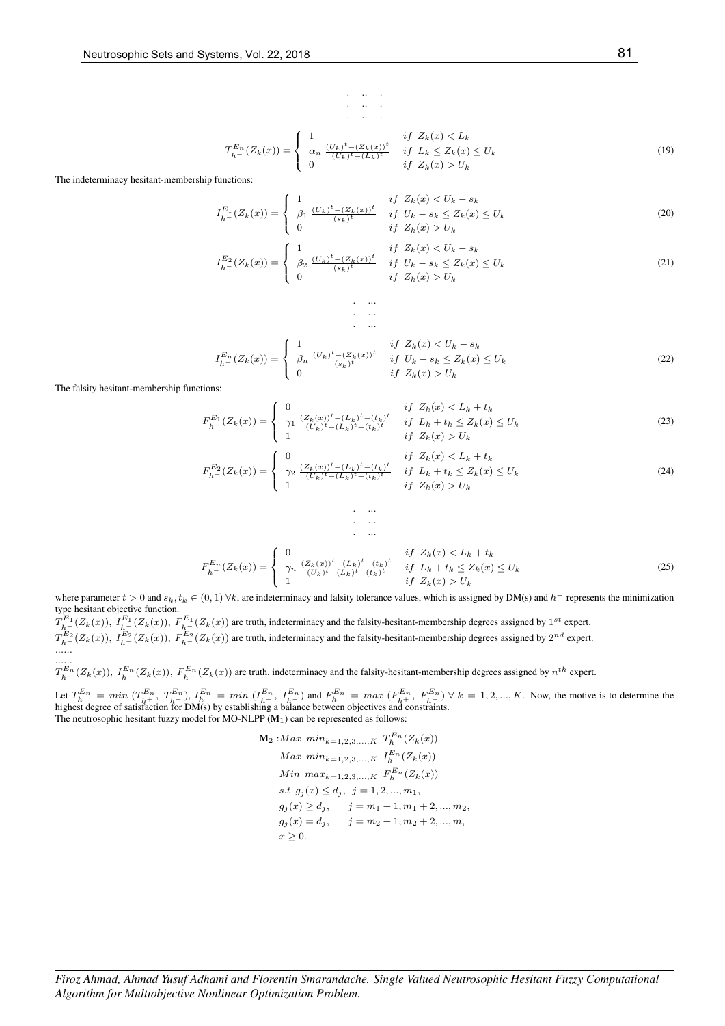$$
T_{h^-}^{E_n}(Z_k(x)) = \begin{cases} 1 & \text{if } Z_k(x) < L_k \\ \alpha_n \frac{(U_k)^t - (Z_k(x))^t}{(U_k)^t - (L_k)^t} & \text{if } L_k \le Z_k(x) \le U_k \\ 0 & \text{if } Z_k(x) > U_k \end{cases}
$$
(19)

 $\ddot{\phantom{a}}$ .

. ...

The indeterminacy hesitant-membership functions:

$$
I_{h}^{E_1}(Z_k(x)) = \begin{cases} 1 & \text{if } Z_k(x) < U_k - s_k \\ \beta_1 \underbrace{(U_k)^t - (Z_k(x))^t}_{(s_k)^t} & \text{if } U_k - s_k \le Z_k(x) \le U_k \\ 0 & \text{if } Z_k(x) > U_k \end{cases} \tag{20}
$$

$$
I_{h}^{E_2}(Z_k(x)) = \begin{cases} 1 & \text{if } Z_k(x) < U_k - s_k \\ \beta_2 \xrightarrow{(U_k)^t - (Z_k(x))^t} & \text{if } U_k - s_k \le Z_k(x) \le U_k \\ 0 & \text{if } Z_k(x) > U_k \end{cases} \tag{21}
$$

$$
I_{h^-}^{E_n}(Z_k(x)) = \begin{cases} 1 & \text{if } Z_k(x) < U_k - s_k \\ \beta_n \frac{(U_k)^t - (Z_k(x))^t}{(s_k)^t} & \text{if } U_k - s_k \le Z_k(x) \le U_k \\ 0 & \text{if } Z_k(x) > U_k \end{cases}
$$
(22)

The falsity hesitant-membership functions:

$$
F_{h}^{E_1}(Z_k(x)) = \begin{cases} 0 & \text{if } Z_k(x) < L_k + t_k \\ \gamma_1 \frac{(Z_k(x))^{t} - (L_k)^t - (t_k)^t}{(U_k)^t - (L_k)^t - (t_k)^t} & \text{if } L_k + t_k \le Z_k(x) \le U_k \\ 1 & \text{if } Z_k(x) > U_k \end{cases} \tag{23}
$$

$$
F_{h-}^{E_2}(Z_k(x)) = \begin{cases} 0 & \text{if } Z_k(x) < L_k + t_k\\ \gamma_2 \frac{(Z_k(x))^{t} - (L_k)^t - (t_k)^t}{(U_k)^t - (L_k)^t - (t_k)^t} & \text{if } L_k + t_k \le Z_k(x) \le U_k\\ 1 & \text{if } Z_k(x) > U_k \end{cases} \tag{24}
$$

$$
F_{h^-}^{E_n}(Z_k(x)) = \begin{cases} 0 & \text{if } Z_k(x) < L_k + t_k \\ \gamma_n \frac{(Z_k(x))^t - (L_k)^t - (t_k)^t}{(U_k)^t - (L_k)^t - (t_k)^t} & \text{if } L_k + t_k \le Z_k(x) \le U_k \\ 1 & \text{if } Z_k(x) > U_k \end{cases}
$$
(25)

where parameter  $t > 0$  and  $s_k$ ,  $t_k \in (0, 1)$   $\forall k$ , are indeterminacy and falsity tolerance values, which is assigned by DM(s) and  $h^-$  represents the minimization type hesitant objective function. type hesitant objective function.

. ... . ...

 $T_{h-}^{E_1}(Z_k(x))$ ,  $I_{h-}^{E_1}(Z_k(x))$ ,  $F_{h-}^{E_1}(Z_k(x))$  are truth, indeterminacy and the falsity-hesitant-membership degrees assigned by  $1^{st}$  expert.  $T_{h-}^{E_2}(Z_k(x))$ ,  $I_{h-}^{E_2}(Z_k(x))$ ,  $F_{h-}^{E_2}(Z_k(x))$  are truth, indeterminacy and the falsity-hesitant-membership degrees assigned by  $2^{nd}$  expert. ...... ......

 $T_{h^-}^{E_n}(Z_k(x))$ ,  $I_{h^-}^{E_n}(Z_k(x))$ ,  $F_{h^-}^{E_n}(Z_k(x))$  are truth, indeterminacy and the falsity-hesitant-membership degrees assigned by  $n^{th}$  expert.

Let  $T_h^{En} = min (T_{h_1}^{En}, T_{h_2}^{En}), I_h^{En} = min (T_{h_1}^{En}, T_{h_2}^{En})$  and  $F_h^{En} = max (F_{h_1}^{En}, F_{h_2}^{En}) \forall k = 1, 2, ..., K$ . Now, the motive is to determine the highest degree of satisfaction for DM(s) by establishing a balance between objec The neutrosophic hesitant fuzzy model for MO-NLPP  $(M_1)$  can be represented as follows:

$$
\mathbf{M}_2: Max \ min_{k=1,2,3,...,K} T_h^{E_n}(Z_k(x))
$$
  
\n
$$
Max \ min_{k=1,2,3,...,K} I_h^{E_n}(Z_k(x))
$$
  
\n
$$
Min \ max_{k=1,2,3,...,K} F_h^{E_n}(Z_k(x))
$$
  
\n
$$
s.t \ g_j(x) \le d_j, \ j = 1,2,...,m_1,
$$
  
\n
$$
g_j(x) \ge d_j, \ j = m_1 + 1, m_1 + 2, ..., m_2,
$$
  
\n
$$
g_j(x) = d_j, \ j = m_2 + 1, m_2 + 2, ..., m,
$$
  
\n
$$
x \ge 0.
$$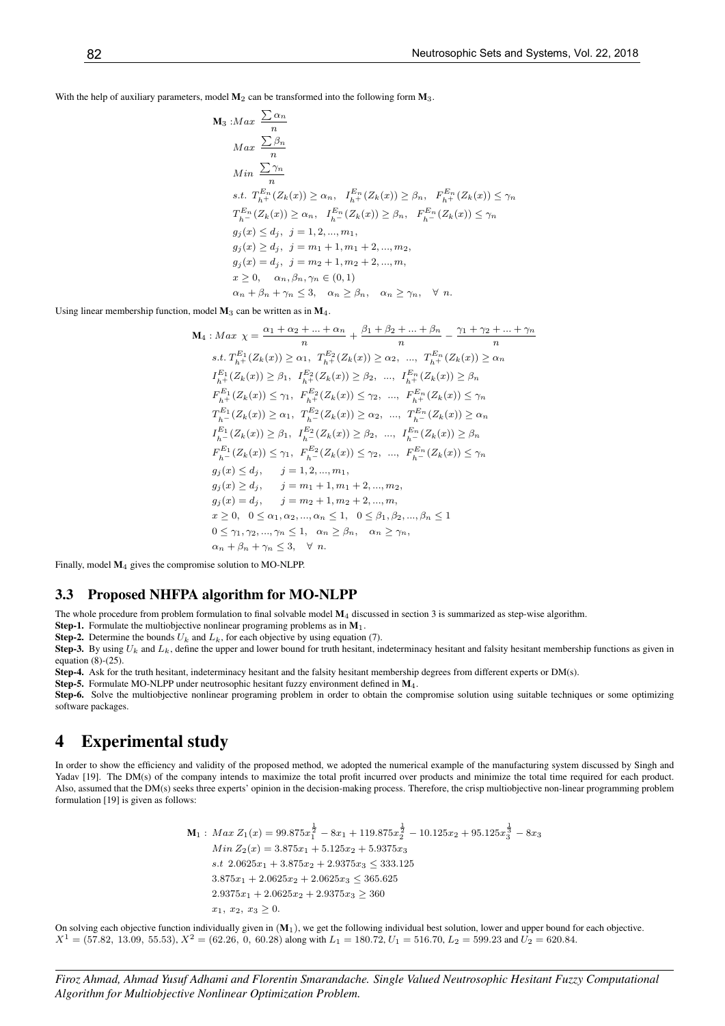With the help of auxiliary parameters, model  $M_2$  can be transformed into the following form  $M_3$ .

$$
M_3: Max \frac{\sum \alpha_n}{n}
$$
  
\n
$$
Max \frac{\sum \beta_n}{n}
$$
  
\n
$$
Min \frac{\sum \gamma_n}{n}
$$
  
\n
$$
s.t. T_{h+}^{E_n}(Z_k(x)) \ge \alpha_n, I_{h+}^{E_n}(Z_k(x)) \ge \beta_n, F_{h+}^{E_n}(Z_k(x)) \le \gamma_n
$$
  
\n
$$
T_{h-}^{E_n}(Z_k(x)) \ge \alpha_n, I_{h-}^{E_n}(Z_k(x)) \ge \beta_n, F_{h-}^{E_n}(Z_k(x)) \le \gamma_n
$$
  
\n
$$
g_j(x) \le d_j, j = 1, 2, ..., m_1,
$$
  
\n
$$
g_j(x) \ge d_j, j = m_1 + 1, m_1 + 2, ..., m_2,
$$
  
\n
$$
g_j(x) = d_j, j = m_2 + 1, m_2 + 2, ..., m,
$$
  
\n
$$
x \ge 0, \quad \alpha_n, \beta_n, \gamma_n \in (0, 1)
$$
  
\n
$$
\alpha_n + \beta_n + \gamma_n \le 3, \quad \alpha_n \ge \beta_n, \quad \alpha_n \ge \gamma_n, \quad \forall n.
$$

Using linear membership function, model  $M_3$  can be written as in  $M_4$ .

$$
\mathbf{M}_{4} : Max \ \chi = \frac{\alpha_{1} + \alpha_{2} + \dots + \alpha_{n}}{n} + \frac{\beta_{1} + \beta_{2} + \dots + \beta_{n}}{n} - \frac{\gamma_{1} + \gamma_{2} + \dots + \gamma_{n}}{n}
$$
\n
$$
s.t. T_{h+1}^{E_{1}}(Z_{k}(x)) \geq \alpha_{1}, T_{h+1}^{E_{2}}(Z_{k}(x)) \geq \alpha_{2}, \dots, T_{h+1}^{E_{n}}(Z_{k}(x)) \geq \alpha_{n}
$$
\n
$$
I_{h+1}^{E_{1}}(Z_{k}(x)) \geq \beta_{1}, I_{h+1}^{E_{2}}(Z_{k}(x)) \geq \beta_{2}, \dots, I_{h+1}^{E_{n}}(Z_{k}(x)) \geq \beta_{n}
$$
\n
$$
F_{h+1}^{E_{1}}(Z_{k}(x)) \leq \gamma_{1}, F_{h+1}^{E_{2}}(Z_{k}(x)) \leq \gamma_{2}, \dots, F_{h+1}^{E_{n}}(Z_{k}(x)) \leq \gamma_{n}
$$
\n
$$
T_{h-1}^{E_{1}}(Z_{k}(x)) \geq \alpha_{1}, T_{h-1}^{E_{2}}(Z_{k}(x)) \geq \alpha_{2}, \dots, T_{h-1}^{E_{n}}(Z_{k}(x)) \geq \alpha_{n}
$$
\n
$$
I_{h-1}^{E_{1}}(Z_{k}(x)) \geq \beta_{1}, I_{h-1}^{E_{2}}(Z_{k}(x)) \geq \beta_{2}, \dots, I_{h-1}^{E_{n}}(Z_{k}(x)) \geq \beta_{n}
$$
\n
$$
F_{h-1}^{E_{1}}(Z_{k}(x)) \leq \gamma_{1}, F_{h-1}^{E_{2}}(Z_{k}(x)) \leq \gamma_{2}, \dots, F_{h-1}^{E_{n}}(Z_{k}(x)) \leq \gamma_{n}
$$
\n
$$
g_{j}(x) \leq d_{j}, \quad j = 1, 2, \dots, m_{1},
$$
\n
$$
g_{j}(x) \geq d_{j}, \quad j = m_{1} + 1, m_{1} + 2, \dots, m_{2},
$$
\n
$$
g_{j}(x) = d_{j}, \quad j = m_{2} + 1, m_{2}
$$

Finally, model M4 gives the compromise solution to MO-NLPP.

#### 3.3 Proposed NHFPA algorithm for MO-NLPP

The whole procedure from problem formulation to final solvable model  $M_4$  discussed in section 3 is summarized as step-wise algorithm.

**Step-1.** Formulate the multiobjective nonlinear programing problems as in  $M_1$ .

**Step-2.** Determine the bounds  $U_k$  and  $L_k$ , for each objective by using equation (7).

Step-3. By using  $U_k$  and  $L_k$ , define the upper and lower bound for truth hesitant, indeterminacy hesitant and falsity hesitant membership functions as given in equation  $(8)-(25)$ .

Step-4. Ask for the truth hesitant, indeterminacy hesitant and the falsity hesitant membership degrees from different experts or DM(s).

Step-5. Formulate MO-NLPP under neutrosophic hesitant fuzzy environment defined in M4.

Step-6. Solve the multiobjective nonlinear programing problem in order to obtain the compromise solution using suitable techniques or some optimizing software packages.

### 4 Experimental study

In order to show the efficiency and validity of the proposed method, we adopted the numerical example of the manufacturing system discussed by Singh and Yadav [19]. The DM(s) of the company intends to maximize the total profit incurred over products and minimize the total time required for each product. Also, assumed that the DM(s) seeks three experts' opinion in the decision-making process. Therefore, the crisp multiobjective non-linear programming problem formulation [19] is given as follows:

$$
\mathbf{M}_1: Max \ Z_1(x) = 99.875x_1^{\frac{1}{2}} - 8x_1 + 119.875x_2^{\frac{1}{2}} - 10.125x_2 + 95.125x_3^{\frac{1}{3}} - 8x_3
$$
  
\n
$$
Min \ Z_2(x) = 3.875x_1 + 5.125x_2 + 5.9375x_3
$$
  
\n
$$
s.t \ 2.0625x_1 + 3.875x_2 + 2.9375x_3 \le 333.125
$$
  
\n
$$
3.875x_1 + 2.0625x_2 + 2.0625x_3 \le 365.625
$$
  
\n
$$
2.9375x_1 + 2.0625x_2 + 2.9375x_3 \ge 360
$$
  
\n
$$
x_1, x_2, x_3 \ge 0.
$$

On solving each objective function individually given in  $(M_1)$ , we get the following individual best solution, lower and upper bound for each objective.  $X^1 = (57.82, 13.09, 55.53), X^2 = (62.26, 0, 60.28)$  along with  $L_1 = 180.72, U_1 = 516.70, L_2 = 599.23$  and  $U_2 = 620.84$ .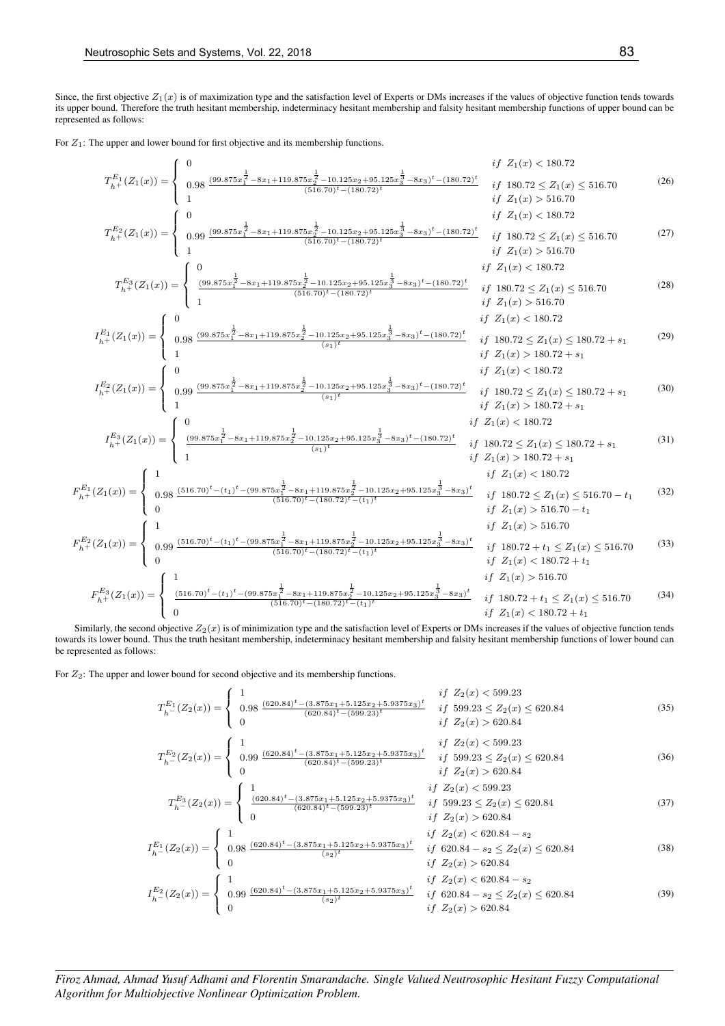Since, the first objective  $Z_1(x)$  is of maximization type and the satisfaction level of Experts or DMs increases if the values of objective function tends towards its upper bound. Therefore the truth hesitant membership, indeterminacy hesitant membership and falsity hesitant membership functions of upper bound can be represented as follows:

For  $Z_1$ : The upper and lower bound for first objective and its membership functions.

$$
T_{h}^{E_{1}}(Z_{1}(x)) = \begin{cases} 0 & \text{if } Z_{1}(x) < 180.72 \\ 0.98 & \frac{(99.875x_{2}^{\frac{1}{2}} - 8x_{1} + 119.875x_{2}^{\frac{1}{2}} - 10.125x_{2} + 95.125x_{3}^{\frac{1}{2}} - 8x_{3})^{t} - (180.72)^{t}}{51.67.0} & \text{if } Z_{1}(x) > 516.70 \\ 0 & \text{if } Z_{1}(x) < 516.70 \\ T_{h}^{E_{2}}(Z_{1}(x)) = \begin{cases} 0 & \text{if } Z_{1}(x) < 516.70 \\ 0.99 & \frac{(99.875x_{2}^{\frac{1}{2}} - 8x_{1} + 119.875x_{2}^{\frac{1}{2}} - 10.125x_{2} + 95.125x_{3}^{\frac{1}{2}} - 8x_{3})^{t} - (180.72)^{t}}{516.70} & \text{if } Z_{1}(x) < 516.70 \\ 0.87 & \text{if } Z_{1}(x) < 516.70 \\ T_{h+}^{E_{3}}(Z_{1}(x)) = \begin{cases} 0 & \text{if } Z_{1}(x) < 180.72 \\ 0 & \text{if } Z_{1}(x) < 516.70 \\ 0.98 & \frac{(99.875x_{2}^{\frac{1}{2}} - 8x_{1} + 119.875x_{2}^{\frac{1}{2}} - 10.125x_{2} + 95.125x_{3}^{\frac{1}{2}} - 8x_{3})^{t} - (180.72)^{t}}{51.67.0} & \text{if } Z_{1}(x) > 516.70 \\ 0 & \text{if } Z_{1}(x) < 516.70 \\ 0.91 & \text{if } Z_{1}(x) < 180.72 \end{cases} & \text{if } Z_{1}(x) < 516.70 \\ T_{h+}^{E_{2}}(Z_{1}(x)) = \begin{cases} 0 & \text{if } Z_{1}(x) < 180.72 \\ 0.99 & \frac{(99.875
$$

Similarly, the second objective  $Z_2(x)$  is of minimization type and the satisfaction level of Experts or DMs increases if the values of objective function tends towards its lower bound. Thus the truth hesitant membership, indeterminacy hesitant membership and falsity hesitant membership functions of lower bound can be represented as follows:

For  $Z_2$ : The upper and lower bound for second objective and its membership functions.

$$
T_{h}^{E_{1}}(Z_{2}(x)) = \begin{cases} 1 & if \ Z_{2}(x) < 599.23 \\ 0.98 \frac{(620.84)^{t} - (3.875x_{1} + 5.125x_{2} + 5.9375x_{3})^{t}}{(620.84)^{t} - (599.23)^{t}} & if \ 599.23 \le Z_{2}(x) \le 620.84 \\ 0 & if \ Z_{2}(x) > 620.84 \end{cases}
$$
(35)  
\n
$$
T_{h}^{E_{2}}(Z_{2}(x)) = \begin{cases} 1 & if \ Z_{2}(x) < 599.23 \\ 0.99 \frac{(620.84)^{t} - (3.875x_{1} + 5.125x_{2} + 5.9375x_{3})^{t}}{(620.84)^{t} - (599.23)^{t}} & if \ 599.23 \le Z_{2}(x) \le 620.84 \\ 0 & if \ Z_{2}(x) > 620.84 \end{cases}
$$
(36)  
\n
$$
T_{h}^{E_{3}}(Z_{2}(x)) = \begin{cases} 1 & if \ Z_{2}(x) < 599.23 \\ 0 & (620.84)^{t} - (3.875x_{1} + 5.125x_{2} + 5.9375x_{3})^{t}} & if \ 599.23 \le Z_{2}(x) \le 620.84 \\ 0 & if \ Z_{2}(x) > 620.84 \end{cases}
$$
(37)  
\n
$$
T_{h}^{E_{1}}(Z_{2}(x)) = \begin{cases} 1 & if \ Z_{2}(x) < 620.84 \\ 0.98 \frac{(620.84)^{t} - (3.875x_{1} + 5.125x_{2} + 5.9375x_{3})^{t}}{(s_{2})^{t}} & if \ 620.84 - s_{2} \le Z_{2}(x) \le 620.84 \\ 0 & if \ Z_{2}(x) > 620.84 \end{cases}
$$
(38)  
\n
$$
T_{h}^{E_{2}}(Z_{2}(x)) = \begin{cases} 1 & if \ Z_{2}(x) < 620.84 \\ 0.99 \frac{(62
$$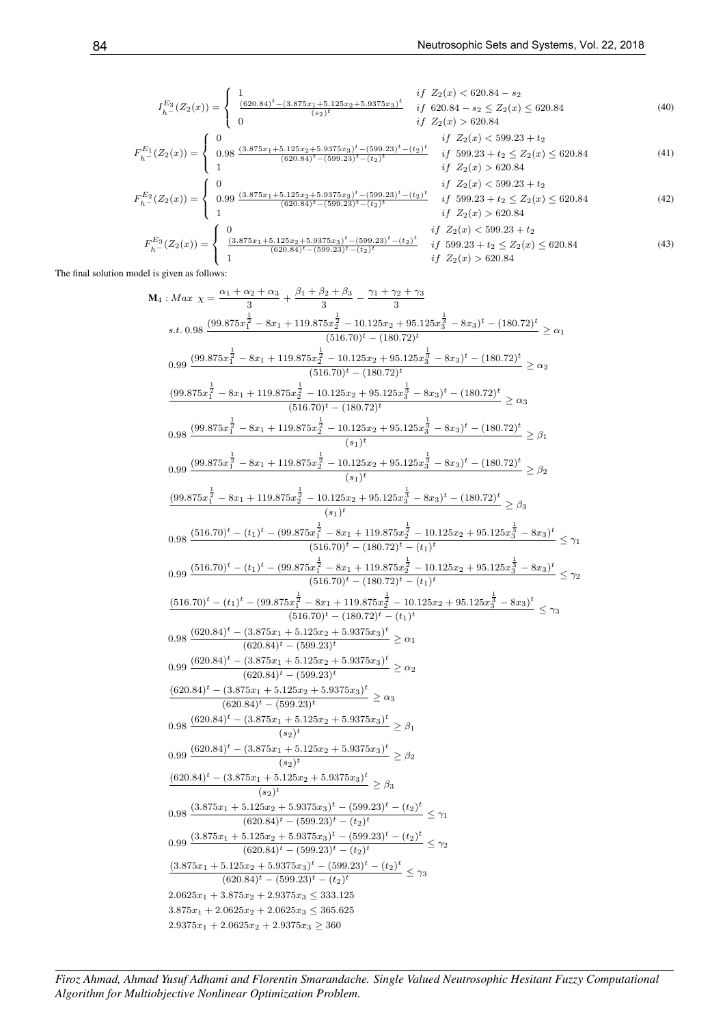$$
I_{h}^{E_{3}}(Z_{2}(x)) = \begin{cases} 1 & if \ Z_{2}(x) < 620.84 - s_{2} \\ \frac{(620.84)^{t} - (3.875x_{1} + 5.125x_{2} + 5.9375x_{3})^{t}}{(s_{2})^{t}} & if \ 620.84 - s_{2} \le Z_{2}(x) \le 620.84 \end{cases} \tag{40}
$$
  
\n
$$
F_{h}^{E_{1}}(Z_{2}(x)) = \begin{cases} 0 & if \ Z_{2}(x) > 620.84 \\ 0.98 & if \ Z_{2}(x) > 620.84 \\ 1 & (620.84)^{t} - (599.23)^{t} - (t_{2})^{t} \\ 1 & if \ 599.23 + t_{2} \le Z_{2}(x) \le 620.84 \end{cases} \tag{41}
$$
  
\n
$$
I_{h}^{E_{2}}(Z_{2}(x)) = \begin{cases} 0 & if \ Z_{2}(x) > 620.84 \\ 1 & if \ Z_{2}(x) > 620.84 \end{cases} \tag{41}
$$
  
\n
$$
I_{h}^{E_{2}}(Z_{2}(x)) = \begin{cases} 0 & if \ Z_{2}(x) < 599.23 + t_{2} \\ 0.99 & \frac{(3.875x_{1} + 5.125x_{2} + 5.9375x_{3})^{t} - (599.23)^{t} - (t_{2})^{t}}{(620.84)^{t} - (599.23)^{t} - (t_{2})^{t}} & if \ 599.23 + t_{2} \le Z_{2}(x) \le 620.84 \end{cases} \tag{42}
$$
  
\n
$$
I_{h}^{E_{3}}(Z_{2}(x)) = \begin{cases} 0 & if \ Z_{2}(x) < 599.23 + t_{2} \\ 1 & \frac{(3.875x_{1} + 5.125x_{2} + 5.9375x_{3})^{t} - (599.23)^{t} - (t_{2})^{t}}{t} & if \ Z_{2}(x) < 599.23 + t_{2} \\ 1 & if \ Z_{2}(x) > 620.84 \end{cases} \tag{
$$

The final solution model is given as follows:

$$
M_4: Max \chi=\frac{\alpha_1+\alpha_2+\alpha_3}{3}+\frac{\beta_1+\beta_2+\beta_3}{3}-\frac{\gamma_1+\gamma_2+\gamma_3}{3}
$$
\ns.t. 0.98 
$$
\frac{(99.875x_1^{\frac{1}{2}}-8x_1+119.875x_2^{\frac{1}{2}}-10.125x_2+95.125x_3^{\frac{1}{2}}-8x_3)^t-(180.72)^t}{(516.70)^t-(180.72)^t} \geq \alpha_1
$$
\n
$$
0.99 \frac{(99.875x_1^{\frac{1}{2}}-8x_1+119.875x_2^{\frac{1}{2}}-10.125x_2+95.125x_3^{\frac{1}{2}}-8x_3)^t-(180.72)^t}{(516.70)^t-(180.72)^t} \geq \alpha_2
$$
\n
$$
\frac{(99.875x_1^{\frac{1}{2}}-8x_1+119.875x_2^{\frac{1}{2}}-10.125x_2+95.125x_3^{\frac{1}{2}}-8x_3)^t-(180.72)^t}{(516.70)^t-(180.72)^t} \geq \alpha_3
$$
\n
$$
0.98 \frac{(99.875x_1^{\frac{1}{2}}-8x_1+119.875x_2^{\frac{1}{2}}-10.125x_2+95.125x_3^{\frac{1}{2}}-8x_3)^t-(180.72)^t}{(s_1)^t} \geq \beta_1
$$
\n
$$
0.99 \frac{(99.875x_1^{\frac{1}{2}}-8x_1+119.875x_2^{\frac{1}{2}}-10.125x_2+95.125x_3^{\frac{1}{2}}-8x_3)^t-(180.72)^t}{(s_1)^t} \geq \beta_2
$$
\n
$$
0.98 \frac{(516.70)^t-(t_1)^t-(99.875x_1^{\frac{1}{2}}-8x_1+119.875x_2^{\frac{1}{2}}-10.125x_2+
$$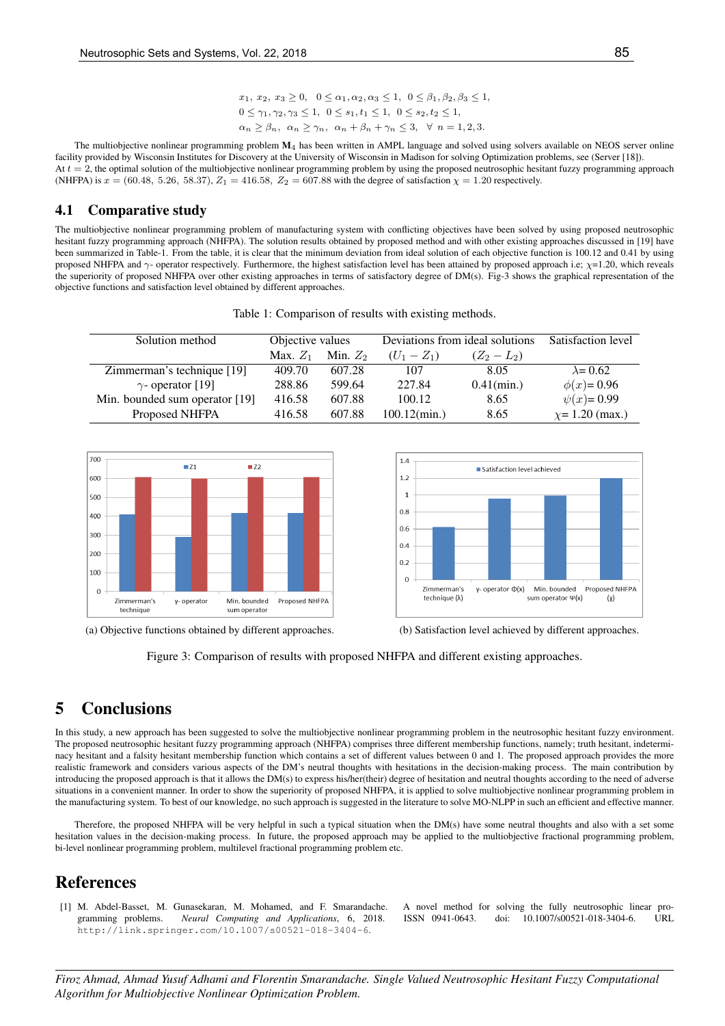The multiobjective nonlinear programming problem  $M_4$  has been written in AMPL language and solved using solvers available on NEOS server online facility provided by Wisconsin Institutes for Discovery at the University of Wisconsin in Madison for solving Optimization problems, see (Server [18]). At  $t = 2$ , the optimal solution of the multiobjective nonlinear programming problem by using the proposed neutrosophic hesitant fuzzy programming approach (NHFPA) is  $x = (60.48, 5.26, 58.37), Z_1 = 416.58, Z_2 = 607.88$  with the degree of satisfaction  $\chi = 1.20$  respectively.

#### 4.1 Comparative study

The multiobjective nonlinear programming problem of manufacturing system with conflicting objectives have been solved by using proposed neutrosophic hesitant fuzzy programming approach (NHFPA). The solution results obtained by proposed method and with other existing approaches discussed in [19] have been summarized in Table-1. From the table, it is clear that the minimum deviation from ideal solution of each objective function is 100.12 and 0.41 by using proposed NHFPA and  $\gamma$ - operator respectively. Furthermore, the highest satisfaction level has been attained by proposed approach i.e;  $\gamma$ =1.20, which reveals the superiority of proposed NHFPA over other existing approaches in terms of satisfactory degree of DM(s). Fig-3 shows the graphical representation of the objective functions and satisfaction level obtained by different approaches.

| Solution method                | Objective values |            | Deviations from ideal solutions |               | Satisfaction level   |
|--------------------------------|------------------|------------|---------------------------------|---------------|----------------------|
|                                | Max. $Z_1$       | Min. $Z_2$ | $(U_1 - Z_1)$                   | $(Z_2 - L_2)$ |                      |
| Zimmerman's technique [19]     | 409.70           | 607.28     | 107                             | 8.05          | $\lambda$ = 0.62     |
| $\gamma$ - operator [19]       | 288.86           | 599.64     | 227.84                          | $0.41$ (min.) | $\phi(x) = 0.96$     |
| Min. bounded sum operator [19] | 416.58           | 607.88     | 100.12                          | 8.65          | $\psi(x) = 0.99$     |
| Proposed NHFPA                 | 416.58           | 607.88     | $100.12$ (min.)                 | 8.65          | $\chi$ = 1.20 (max.) |



(a) Objective functions obtained by different approaches. (b) Satisfaction level achieved by different approaches.





# 5 Conclusions

In this study, a new approach has been suggested to solve the multiobjective nonlinear programming problem in the neutrosophic hesitant fuzzy environment. The proposed neutrosophic hesitant fuzzy programming approach (NHFPA) comprises three different membership functions, namely; truth hesitant, indeterminacy hesitant and a falsity hesitant membership function which contains a set of different values between 0 and 1. The proposed approach provides the more realistic framework and considers various aspects of the DM's neutral thoughts with hesitations in the decision-making process. The main contribution by introducing the proposed approach is that it allows the DM(s) to express his/her(their) degree of hesitation and neutral thoughts according to the need of adverse situations in a convenient manner. In order to show the superiority of proposed NHFPA, it is applied to solve multiobjective nonlinear programming problem in the manufacturing system. To best of our knowledge, no such approach is suggested in the literature to solve MO-NLPP in such an efficient and effective manner.

Therefore, the proposed NHFPA will be very helpful in such a typical situation when the DM(s) have some neutral thoughts and also with a set some hesitation values in the decision-making process. In future, the proposed approach may be applied to the multiobjective fractional programming problem, bi-level nonlinear programming problem, multilevel fractional programming problem etc.

## References

[1] M. Abdel-Basset, M. Gunasekaran, M. Mohamed, and F. Smarandache. A novel method for solving the fully neutrosophic linear programming problems. *Neural Computing and Applications*, 6, 2018. ISSN 0941-0643. doi: 10.1007/s00521-018-3404-6. URL http://link.springer.com/10.1007/s00521-018-3404-6.